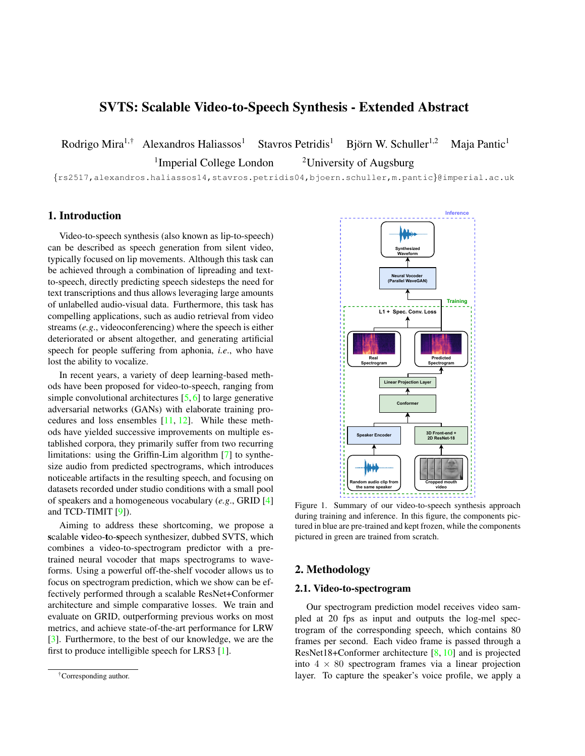# <span id="page-0-1"></span>SVTS: Scalable Video-to-Speech Synthesis - Extended Abstract

Rodrigo Mira<sup>1,†</sup> Alexandros Haliassos<sup>1</sup> Stavros Petridis<sup>1</sup> Björn W. Schuller<sup>1,2</sup> Maja Pantic<sup>1</sup> <sup>1</sup>Imperial College London <sup>2</sup>University of Augsburg

{rs2517,alexandros.haliassos14,stavros.petridis04,bjoern.schuller,m.pantic}@imperial.ac.uk

# 1. Introduction

Video-to-speech synthesis (also known as lip-to-speech) can be described as speech generation from silent video, typically focused on lip movements. Although this task can be achieved through a combination of lipreading and textto-speech, directly predicting speech sidesteps the need for text transcriptions and thus allows leveraging large amounts of unlabelled audio-visual data. Furthermore, this task has compelling applications, such as audio retrieval from video streams (*e.g*., videoconferencing) where the speech is either deteriorated or absent altogether, and generating artificial speech for people suffering from aphonia, *i.e*., who have lost the ability to vocalize.

In recent years, a variety of deep learning-based methods have been proposed for video-to-speech, ranging from simple convolutional architectures [\[5,](#page-2-0) [6\]](#page-2-1) to large generative adversarial networks (GANs) with elaborate training procedures and loss ensembles [\[11,](#page-2-2) [12\]](#page-2-3). While these methods have yielded successive improvements on multiple established corpora, they primarily suffer from two recurring limitations: using the Griffin-Lim algorithm [\[7\]](#page-2-4) to synthesize audio from predicted spectrograms, which introduces noticeable artifacts in the resulting speech, and focusing on datasets recorded under studio conditions with a small pool of speakers and a homogeneous vocabulary (*e.g*., GRID [\[4\]](#page-2-5) and TCD-TIMIT [\[9\]](#page-2-6)).

Aiming to address these shortcoming, we propose a scalable video-to-speech synthesizer, dubbed SVTS, which combines a video-to-spectrogram predictor with a pretrained neural vocoder that maps spectrograms to waveforms. Using a powerful off-the-shelf vocoder allows us to focus on spectrogram prediction, which we show can be effectively performed through a scalable ResNet+Conformer architecture and simple comparative losses. We train and evaluate on GRID, outperforming previous works on most metrics, and achieve state-of-the-art performance for LRW [\[3\]](#page-2-7). Furthermore, to the best of our knowledge, we are the first to produce intelligible speech for LRS3 [\[1\]](#page-2-8).

<span id="page-0-0"></span>

Figure 1. Summary of our video-to-speech synthesis approach during training and inference. In this figure, the components pictured in blue are pre-trained and kept frozen, while the components pictured in green are trained from scratch.

# 2. Methodology

#### 2.1. Video-to-spectrogram

Our spectrogram prediction model receives video sampled at 20 fps as input and outputs the log-mel spectrogram of the corresponding speech, which contains 80 frames per second. Each video frame is passed through a ResNet18+Conformer architecture [\[8,](#page-2-9) [10\]](#page-2-10) and is projected into  $4 \times 80$  spectrogram frames via a linear projection layer. To capture the speaker's voice profile, we apply a

<sup>†</sup>Corresponding author.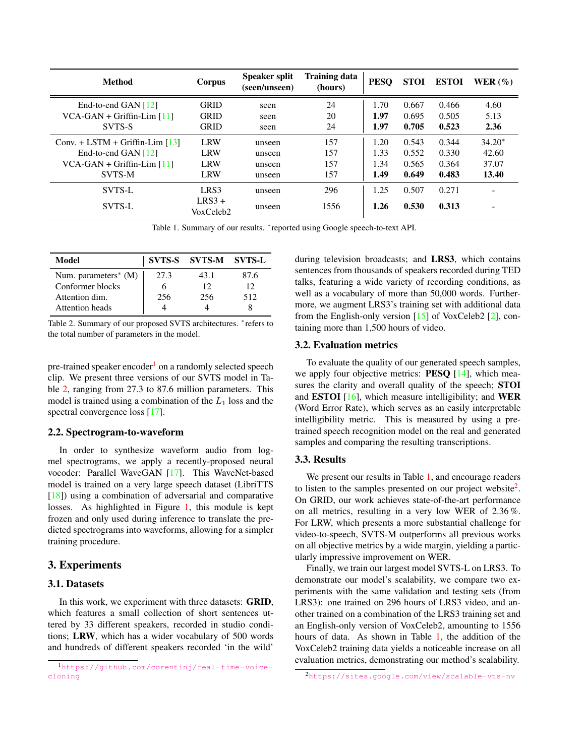<span id="page-1-4"></span><span id="page-1-2"></span>

| Method                            | Corpus                | <b>Speaker split</b><br>(seen/unseen) | <b>Training data</b><br>(hours) | <b>PESO</b> | <b>STOI</b> | <b>ESTOI</b> | WER $(%)$ |
|-----------------------------------|-----------------------|---------------------------------------|---------------------------------|-------------|-------------|--------------|-----------|
| End-to-end GAN $[12]$             | <b>GRID</b>           | seen                                  | 24                              | 1.70        | 0.667       | 0.466        | 4.60      |
| $VCA-GAN + Griffith$ [11]         | <b>GRID</b>           | seen                                  | 20                              | 1.97        | 0.695       | 0.505        | 5.13      |
| SVTS-S                            | <b>GRID</b>           | seen                                  | 24                              | 1.97        | 0.705       | 0.523        | 2.36      |
| Conv. + LSTM + Griffin-Lim $[13]$ | <b>LRW</b>            | unseen                                | 157                             | 1.20        | 0.543       | 0.344        | $34.20*$  |
| End-to-end GAN $[12]$             | <b>LRW</b>            | unseen                                | 157                             | 1.33        | 0.552       | 0.330        | 42.60     |
| $VCA-GAN + Griffith$ [11]         | <b>LRW</b>            | unseen                                | 157                             | 1.34        | 0.565       | 0.364        | 37.07     |
| SVTS-M                            | <b>LRW</b>            | unseen                                | 157                             | 1.49        | 0.649       | 0.483        | 13.40     |
| <b>SVTS-L</b>                     | LRS3                  | unseen                                | 296                             | 1.25        | 0.507       | 0.271        |           |
| <b>SVTS-L</b>                     | $LRS3 +$<br>VoxCeleb2 | unseen                                | 1556                            | 1.26        | 0.530       | 0.313        | ۰         |

Table 1. Summary of our results. \*reported using Google speech-to-text API.

<span id="page-1-1"></span>

| Model                   |      | <b>SVTS-S SVTS-M SVTS-L</b> |      |
|-------------------------|------|-----------------------------|------|
| Num. parameters $*$ (M) | 27.3 | 43.1                        | 87.6 |
| Conformer blocks        |      | 12                          | 12   |
| Attention dim.          | 256  | 256                         | 512  |
| <b>Attention</b> heads  |      |                             |      |

Table 2. Summary of our proposed SVTS architectures. <sup>∗</sup> refers to the total number of parameters in the model.

pre-trained speaker encoder<sup>[1](#page-1-0)</sup> on a randomly selected speech clip. We present three versions of our SVTS model in Table [2,](#page-1-1) ranging from 27.3 to 87.6 million parameters. This model is trained using a combination of the  $L_1$  loss and the spectral convergence loss [\[17\]](#page-2-12).

#### 2.2. Spectrogram-to-waveform

In order to synthesize waveform audio from logmel spectrograms, we apply a recently-proposed neural vocoder: Parallel WaveGAN [\[17\]](#page-2-12). This WaveNet-based model is trained on a very large speech dataset (LibriTTS [\[18\]](#page-2-13)) using a combination of adversarial and comparative losses. As highlighted in Figure [1,](#page-0-0) this module is kept frozen and only used during inference to translate the predicted spectrograms into waveforms, allowing for a simpler training procedure.

#### 3. Experiments

#### 3.1. Datasets

In this work, we experiment with three datasets: **GRID**, which features a small collection of short sentences uttered by 33 different speakers, recorded in studio conditions; LRW, which has a wider vocabulary of 500 words and hundreds of different speakers recorded 'in the wild'

during television broadcasts; and LRS3, which contains sentences from thousands of speakers recorded during TED talks, featuring a wide variety of recording conditions, as well as a vocabulary of more than 50,000 words. Furthermore, we augment LRS3's training set with additional data from the English-only version [\[15\]](#page-2-14) of VoxCeleb2 [\[2\]](#page-2-15), containing more than 1,500 hours of video.

### 3.2. Evaluation metrics

To evaluate the quality of our generated speech samples, we apply four objective metrics: **PESQ** [\[14\]](#page-2-16), which measures the clarity and overall quality of the speech; STOI and **ESTOI**  $[16]$ , which measure intelligibility; and **WER** (Word Error Rate), which serves as an easily interpretable intelligibility metric. This is measured by using a pretrained speech recognition model on the real and generated samples and comparing the resulting transcriptions.

#### 3.3. Results

We present our results in Table [1,](#page-1-2) and encourage readers to listen to the samples presented on our project website $2$ . On GRID, our work achieves state-of-the-art performance on all metrics, resulting in a very low WER of 2.36 %. For LRW, which presents a more substantial challenge for video-to-speech, SVTS-M outperforms all previous works on all objective metrics by a wide margin, yielding a particularly impressive improvement on WER.

Finally, we train our largest model SVTS-L on LRS3. To demonstrate our model's scalability, we compare two experiments with the same validation and testing sets (from LRS3): one trained on 296 hours of LRS3 video, and another trained on a combination of the LRS3 training set and an English-only version of VoxCeleb2, amounting to 1556 hours of data. As shown in Table [1,](#page-1-2) the addition of the VoxCeleb2 training data yields a noticeable increase on all evaluation metrics, demonstrating our method's scalability.

<span id="page-1-0"></span><sup>1</sup>[https://github.com/corentinj/real-time-voice](https://github.com/corentinj/real-time-voice-cloning)[cloning](https://github.com/corentinj/real-time-voice-cloning)

<span id="page-1-3"></span><sup>2</sup><https://sites.google.com/view/scalable-vts-nv>